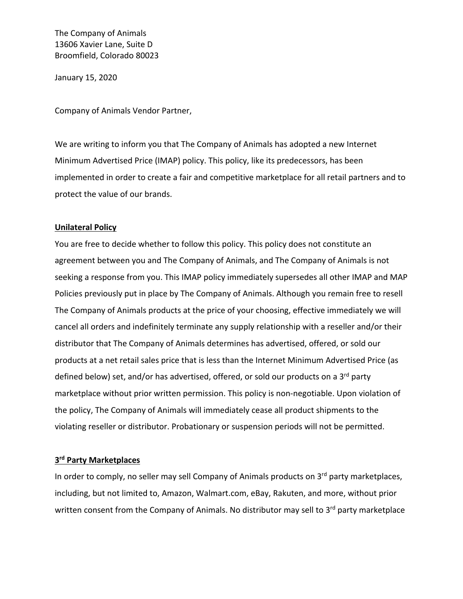The Company of Animals 13606 Xavier Lane, Suite D Broomfield, Colorado 80023

January 15, 2020

Company of Animals Vendor Partner,

We are writing to inform you that The Company of Animals has adopted a new Internet Minimum Advertised Price (IMAP) policy. This policy, like its predecessors, has been implemented in order to create a fair and competitive marketplace for all retail partners and to protect the value of our brands.

## **Unilateral Policy**

You are free to decide whether to follow this policy. This policy does not constitute an agreement between you and The Company of Animals, and The Company of Animals is not seeking a response from you. This IMAP policy immediately supersedes all other IMAP and MAP Policies previously put in place by The Company of Animals. Although you remain free to resell The Company of Animals products at the price of your choosing, effective immediately we will cancel all orders and indefinitely terminate any supply relationship with a reseller and/or their distributor that The Company of Animals determines has advertised, offered, or sold our products at a net retail sales price that is less than the Internet Minimum Advertised Price (as defined below) set, and/or has advertised, offered, or sold our products on a 3<sup>rd</sup> party marketplace without prior written permission. This policy is non-negotiable. Upon violation of the policy, The Company of Animals will immediately cease all product shipments to the violating reseller or distributor. Probationary or suspension periods will not be permitted.

## **3rd Party Marketplaces**

In order to comply, no seller may sell Company of Animals products on  $3<sup>rd</sup>$  party marketplaces, including, but not limited to, Amazon, Walmart.com, eBay, Rakuten, and more, without prior written consent from the Company of Animals. No distributor may sell to 3<sup>rd</sup> party marketplace